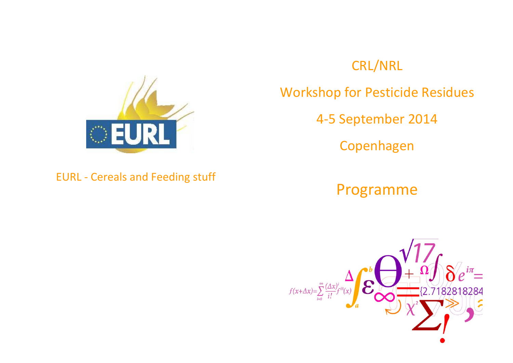

## CRL/NRL

Workshop for Pesticide Residues

4‐5 September 2014

Copenhagen

Programme



EURL ‐ Cereals and Feeding stuff